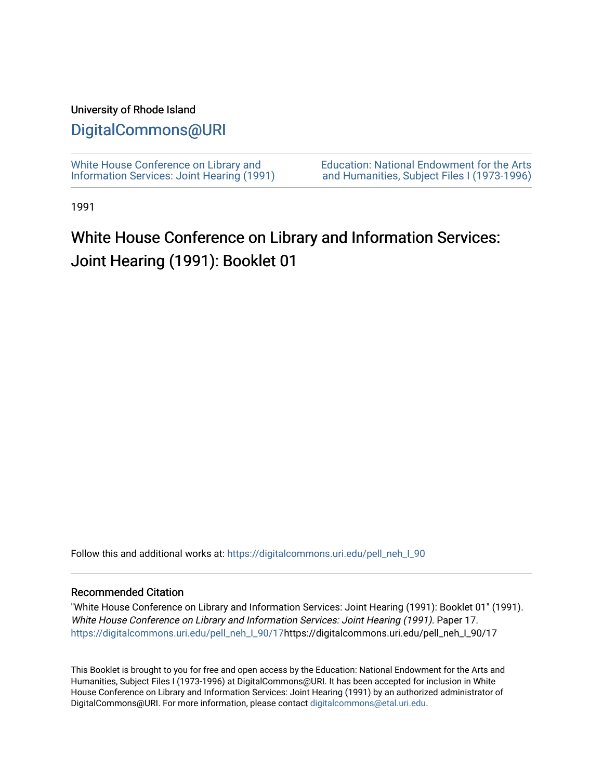#### University of Rhode Island

# [DigitalCommons@URI](https://digitalcommons.uri.edu/)

[White House Conference on Library and](https://digitalcommons.uri.edu/pell_neh_I_90) [Information Services: Joint Hearing \(1991\)](https://digitalcommons.uri.edu/pell_neh_I_90) [Education: National Endowment for the Arts](https://digitalcommons.uri.edu/pell_neh_I)  [and Humanities, Subject Files I \(1973-1996\)](https://digitalcommons.uri.edu/pell_neh_I) 

1991

# White House Conference on Library and Information Services: Joint Hearing (1991): Booklet 01

Follow this and additional works at: https://digitalcommons.uri.edu/pell\_neh\_I\_90

#### Recommended Citation

"White House Conference on Library and Information Services: Joint Hearing (1991): Booklet 01" (1991). White House Conference on Library and Information Services: Joint Hearing (1991). Paper 17. [https://digitalcommons.uri.edu/pell\\_neh\\_I\\_90/17h](https://digitalcommons.uri.edu/pell_neh_I_90/17?utm_source=digitalcommons.uri.edu%2Fpell_neh_I_90%2F17&utm_medium=PDF&utm_campaign=PDFCoverPages)ttps://digitalcommons.uri.edu/pell\_neh\_I\_90/17

This Booklet is brought to you for free and open access by the Education: National Endowment for the Arts and Humanities, Subject Files I (1973-1996) at DigitalCommons@URI. It has been accepted for inclusion in White House Conference on Library and Information Services: Joint Hearing (1991) by an authorized administrator of DigitalCommons@URI. For more information, please contact [digitalcommons@etal.uri.edu.](mailto:digitalcommons@etal.uri.edu)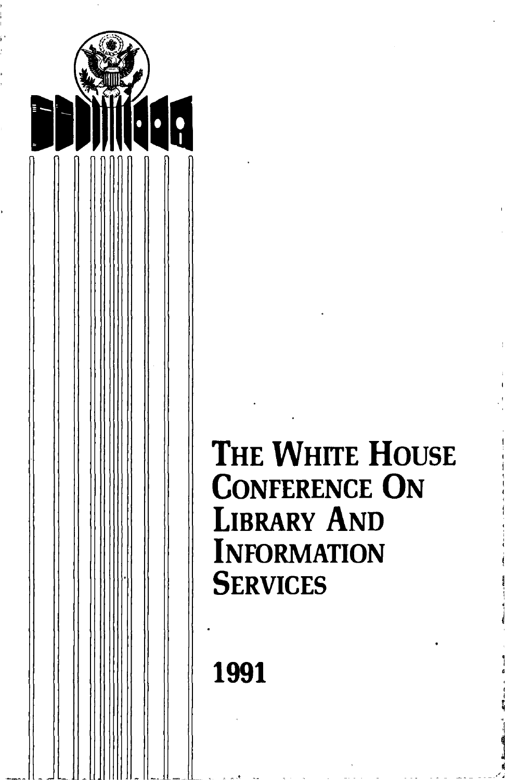

# THE WHITE HOUSE CONFERENCE ON LIBRARY AND **INFORMATION SERVICES**

- - -- ~- - - - \_\_ ,\_,,.I

1991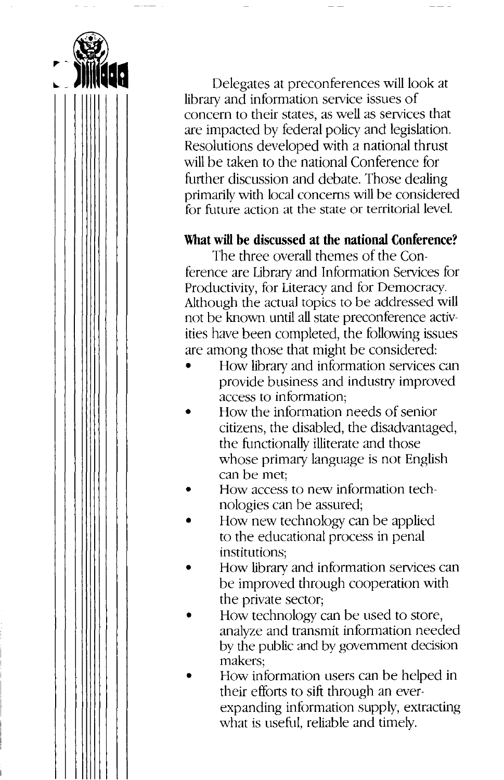

Delegates at preconferences will look at library and information service issues of concern to their states, as well as services that are impacted by federal policy and legislation. Resolutions developed with a national thrust will be taken to the national Conference for further discussion and debate. Those dealing primarily with local concerns will be considered for future action at the state or territorial level.

#### **What will be discussed at the national Conference?**

The three overall themes of the Conference are Library and Information Services for Productivity, for Literacy and for Democracy. Although the actual topics to be addressed will not be known until all state preconference activities have been completed, the following issues are among those that might be considered:

- How library and information services can provide business and industry improved access to information;
- How the information needs of senior citizens, the disabled, the disadvantaged, the functionally illiterate and those whose primary language is not English can be met;
- How access to new information technologies can be assured;
- How new technology can be applied to the educational process in penal institutions;
- How library and information services can be improved through cooperation with the private sector;
- How technology can be used to store, analyze and transmit information needed by the public and by government decision makers;
- How information users can be helped in their efforts to sift through an everexpanding information supply, extracting what is useful, reliable and timely.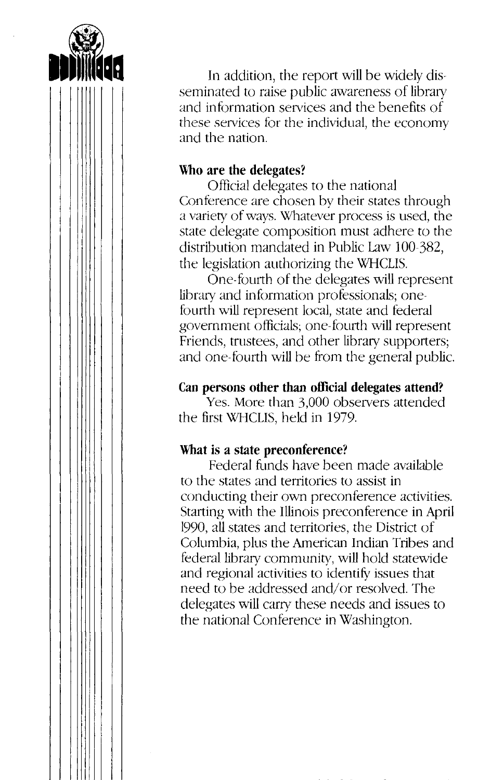

In addition, the report will be widely disseminated to raise public awareness of library and information services and the benefits of these services for the individual, the economy and the nation.

#### **Who are the delegates?**

Official delegates to the national Conference are chosen by their states through a variety of ways. Whatever process is used, the state delegate composition must adhere to the distribution mandated in Public Law 100-382, the legislation authorizing the WHCLIS.

One-fourth of the delegates will represent library and information professionals; onefourth will represent local, state and federal government officials; one-fourth will represent Friends, trustees, and other library supporters; and one-fourth will be from the general public.

# **Can persons other than official delegates attend?**

Yes. More than 3,000 observers attended the first WHCLIS, held in 1979.

# **What is a state preconference?**

Federal funds have been made available to the states and territories to assist in conducting their own preconference activities. Starting with the Illinois preconference in April 1990, all states and territories, the District of Columbia, plus the American Indian Tribes and federal library community, will hold statewide and regional activities to identify issues that need to be addressed and/or resolved. The delegates will carry these needs and issues to the national Conference in Washington.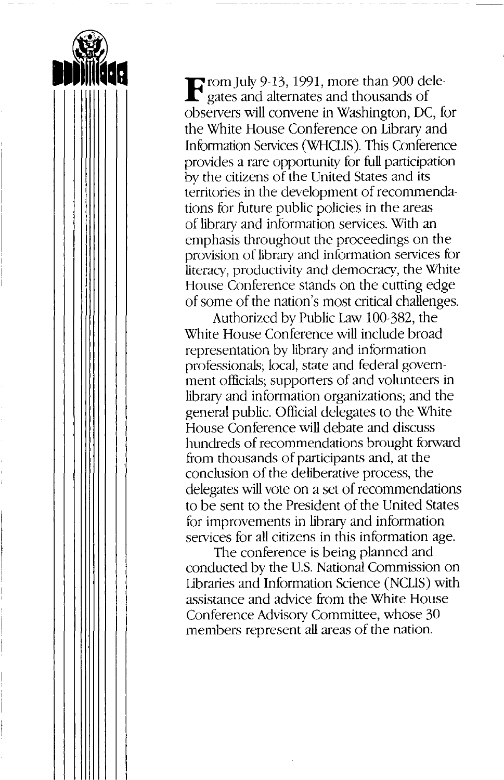**F** rom July 9-13, 1991, more than 900 dele-<br>gates and alternates and thousands of observers will convene in Washington, DC, for the White House Conference on Library and Information Services (WHCIJS). This Conference provides a rare opportunity for full participation by the citizens of the United States and its territories in the development of recommendations for future public policies in the areas of library and information services. With an emphasis throughout the proceedings on the provision of library and information services for literacy, productivity and democracy, the White House Conference stands on the cutting edge of some of the nation's most critical challenges.

Authorized by Public Law 100-382, the White House Conference will include broad representation by library and information professionals; local, state and federal government officials; supporters of and volunteers in library and information organizations; and the general public. Official delegates to the White House Conference will debate and discuss hundreds of recommendations brought forward from thousands of participants and, at the conclusion of the deliberative process, the delegates will vote on a set of recommendations to be sent to the President of the United States for improvements in library and information services for all citizens in this information age.

The conference is being planned and conducted by the U.S. National Commission on Libraries and Information Science (NCLIS) with assistance and advice from the White House Conference Advisory Committee, whose 30 members represent all areas of the nation.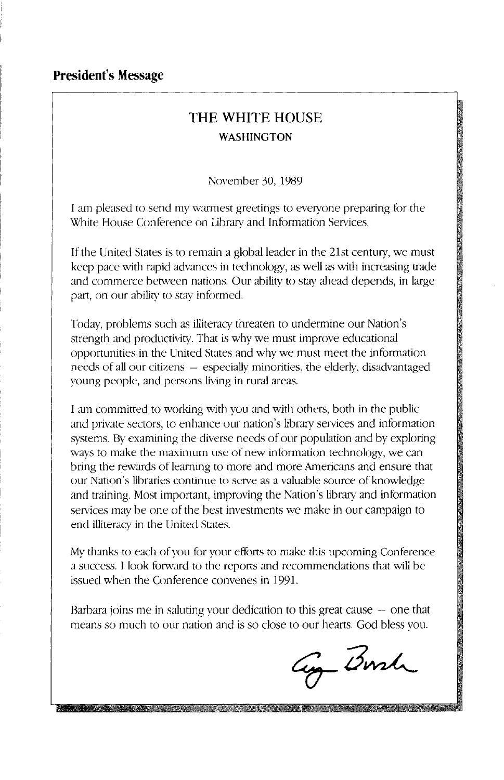#### **President's Message**

# **THE WHITE HOUSE WASHINGTON**

November 30, 1989

I am pleased to send my warmest greetings to everyone preparing for the White House Conference on Library and Information Services.

If the United States is to remain a global leader in the 21st century, we must keep pace with rapid advances in technology, as well as with increasing trade and commerce between nations. Our ability to stay ahead depends, in large part, on our ability to stay informed.

Today, problems such as illiteracy threaten to undermine our Nation's strength and productivity. That is why we must improve educational opportunities in the United States and why we must meet the information needs of all our citizens - especially minorities, the elderly, disadvantaged young people, and persons living in rural area<>.

I am committed to working with you and with others, both in the public and private sectors, to enhance our nation's library services and information systems. By examining the diverse needs of our population and by exploring ways to make the maximum use of new information technology, we can bring the rewards of learning to more and more Americans and ensure that our Nation's libraries continue to serve as a valuable source of knowledge and training. Most important, improving the Nation's library and information services may be one of the best investments we make in our campaign to end illiteracy in the United States.

My thanks to each of you for your efforts to make this upcoming Conference a success. I look forward to the reports and recommendations that will be issued when the Conference convenes in 1991.

Barbara joins me in saluting your dedication to this great cause  $-$  one that means so much to our nation and is so close to our hearts. God bless you.

ay Borch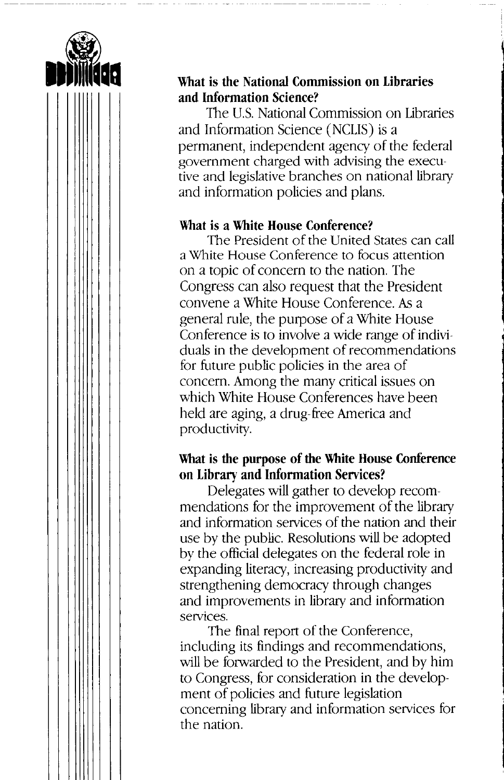

#### **What is the National Commission on Libraries and Information Science?**

The U.S. National Commission on Libraries and Information Science (NCLIS) is a permanent, independent agency of the federal government charged with advising the executive and legislative branches on national library and information policies and plans.

#### **What is a White House Conference?**

The President of the United States can call a White House Conference to focus attention on a topic of concern to the nation. The Congress can also request that the President convene a White House Conference. *As* a general rule, the purpose of a White House Conference is to involve a wide range of individuals in the development of recommendations for future public policies in the area of concern. Among the many critical issues on which White House Conferences have been held are aging, a drug-free America and productivity.

#### **What is the purpose of the White House Conference on Library and Information Services?**

Delegates will gather to develop recommendations for the improvement of the library and information services of the nation and their use by the public. Resolutions will be adopted by the official delegates on the federal role in expanding literacy, increasing productivity and strengthening democracy through changes and improvements in library and information services.

The final report of the Conference, including its findings and recommendations, will be forwarded to the President, and by him to Congress, for consideration in the development of policies and future legislation concerning library and information services for the nation.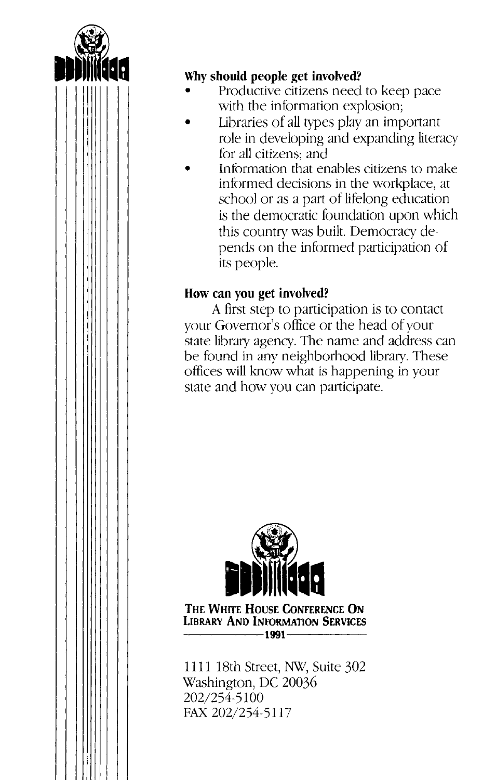

#### **Why should people get involved?**

- Productive citizens need to keep pace with the information explosion;
- Libraries of all types play an important role in developing and expanding literacy for all citizens; and
- Information that enables citizens to make informed decisions in the workplace, at school or as a part of lifelong education is the democratic foundation upon which this country was built. Democracy depends on the informed participation of its people.

# **How can you get involved?**

A first step to participation is to contact your Governor's office or the head of your state library agency. The name and address can be found in any neighborhood library. These offices will know what is happening in your state and how you can participate.



**THE WHITE HOUSE CONFERENCE ON LIBRARY AND INFORMATION SERVICES**   $-1991$ -

1111 18th Street, NW, Suite 302 Washington, DC 20036 202/254-5100 FAX 202/254-5117